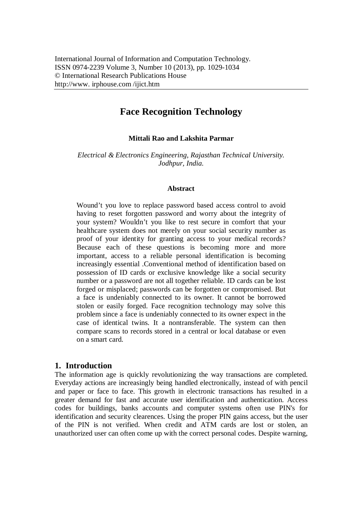# **Face Recognition Technology**

#### **Mittali Rao and Lakshita Parmar**

*Electrical & Electronics Engineering, Rajasthan Technical University. Jodhpur, India.*

#### **Abstract**

Wound't you love to replace password based access control to avoid having to reset forgotten password and worry about the integrity of your system? Wouldn't you like to rest secure in comfort that your healthcare system does not merely on your social security number as proof of your identity for granting access to your medical records? Because each of these questions is becoming more and more important, access to a reliable personal identification is becoming increasingly essential .Conventional method of identification based on possession of ID cards or exclusive knowledge like a social security number or a password are not all together reliable. ID cards can be lost forged or misplaced; passwords can be forgotten or compromised. But a face is undeniably connected to its owner. It cannot be borrowed stolen or easily forged. Face recognition technology may solve this problem since a face is undeniably connected to its owner expect in the case of identical twins. It a nontransferable. The system can then compare scans to records stored in a central or local database or even on a smart card.

### **1. Introduction**

The information age is quickly revolutionizing the way transactions are completed. Everyday actions are increasingly being handled electronically, instead of with pencil and paper or face to face. This growth in electronic transactions has resulted in a greater demand for fast and accurate user identification and authentication. Access codes for buildings, banks accounts and computer systems often use PIN's for identification and security clearences. Using the proper PIN gains access, but the user of the PIN is not verified. When credit and ATM cards are lost or stolen, an unauthorized user can often come up with the correct personal codes. Despite warning,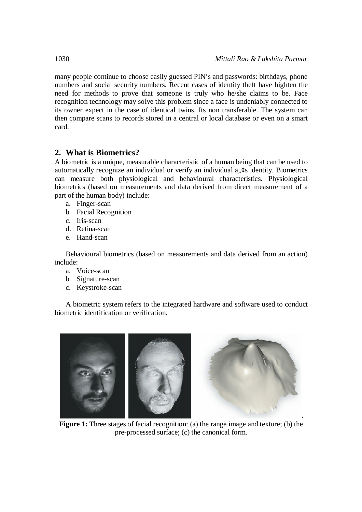many people continue to choose easily guessed PIN's and passwords: birthdays, phone numbers and social security numbers. Recent cases of identity theft have highten the need for methods to prove that someone is truly who he/she claims to be. Face recognition technology may solve this problem since a face is undeniably connected to its owner expect in the case of identical twins. Its non transferable. The system can then compare scans to records stored in a central or local database or even on a smart card.

### **2. What is Biometrics?**

A biometric is a unique, measurable characteristic of a human being that can be used to automatically recognize an individual or verify an individual a.  $\&$  identity. Biometrics can measure both physiological and behavioural characteristics. Physiological biometrics (based on measurements and data derived from direct measurement of a part of the human body) include:

- a. Finger-scan
- b. Facial Recognition
- c. Iris-scan
- d. Retina-scan
- e. Hand-scan

Behavioural biometrics (based on measurements and data derived from an action) include:

- a. Voice-scan
- b. Signature-scan
- c. Keystroke-scan

A biometric system refers to the integrated hardware and software used to conduct biometric identification or verification.



**Figure 1:** Three stages of facial recognition: (a) the range image and texture; (b) the pre-processed surface; (c) the canonical form.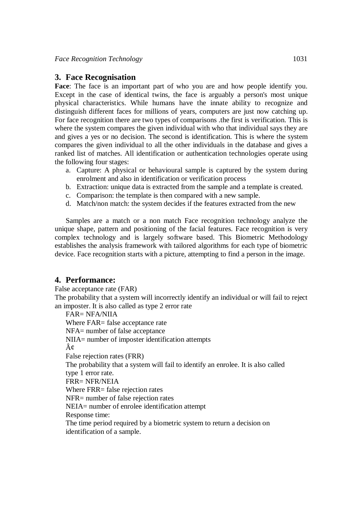#### **3. Face Recognisation**

**Face**: The face is an important part of who you are and how people identify you. Except in the case of identical twins, the face is arguably a person's most unique physical characteristics. While humans have the innate ability to recognize and distinguish different faces for millions of years, computers are just now catching up. For face recognition there are two types of comparisons .the first is verification. This is where the system compares the given individual with who that individual says they are and gives a yes or no decision. The second is identification. This is where the system compares the given individual to all the other individuals in the database and gives a ranked list of matches. All identification or authentication technologies operate using the following four stages:

- a. Capture: A physical or behavioural sample is captured by the system during enrolment and also in identification or verification process
- b. Extraction: unique data is extracted from the sample and a template is created.
- c. Comparison: the template is then compared with a new sample.
- d. Match/non match: the system decides if the features extracted from the new

Samples are a match or a non match Face recognition technology analyze the unique shape, pattern and positioning of the facial features. Face recognition is very complex technology and is largely software based. This Biometric Methodology establishes the analysis framework with tailored algorithms for each type of biometric device. Face recognition starts with a picture, attempting to find a person in the image.

#### **4. Performance:**

False acceptance rate (FAR) The probability that a system will incorrectly identify an individual or will fail to reject an imposter. It is also called as type 2 error rate FAR= NFA/NIIA

Where FAR= false acceptance rate NFA= number of false acceptance NIIA= number of imposter identification attempts ¢ False rejection rates (FRR) The probability that a system will fail to identify an enrolee. It is also called type 1 error rate. FRR= NFR/NEIA Where FRR= false rejection rates NFR= number of false rejection rates NEIA= number of enrolee identification attempt Response time: The time period required by a biometric system to return a decision on identification of a sample.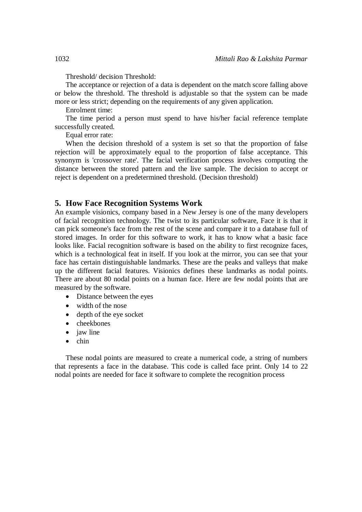Threshold/ decision Threshold:

The acceptance or rejection of a data is dependent on the match score falling above or below the threshold. The threshold is adjustable so that the system can be made more or less strict; depending on the requirements of any given application.

Enrolment time:

The time period a person must spend to have his/her facial reference template successfully created.

Equal error rate:

When the decision threshold of a system is set so that the proportion of false rejection will be approximately equal to the proportion of false acceptance. This synonym is 'crossover rate'. The facial verification process involves computing the distance between the stored pattern and the live sample. The decision to accept or reject is dependent on a predetermined threshold. (Decision threshold)

#### **5. How Face Recognition Systems Work**

An example visionics, company based in a New Jersey is one of the many developers of facial recognition technology. The twist to its particular software, Face it is that it can pick someone's face from the rest of the scene and compare it to a database full of stored images. In order for this software to work, it has to know what a basic face looks like. Facial recognition software is based on the ability to first recognize faces, which is a technological feat in itself. If you look at the mirror, you can see that your face has certain distinguishable landmarks. These are the peaks and valleys that make up the different facial features. Visionics defines these landmarks as nodal points. There are about 80 nodal points on a human face. Here are few nodal points that are measured by the software.

- Distance between the eyes
- width of the nose
- depth of the eye socket
- cheekbones
- jaw line
- $\bullet$  chin

These nodal points are measured to create a numerical code, a string of numbers that represents a face in the database. This code is called face print. Only 14 to 22 nodal points are needed for face it software to complete the recognition process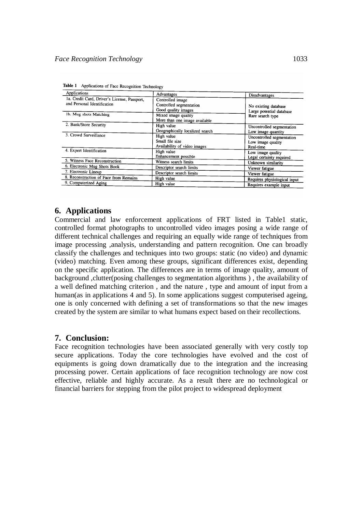| Applications                                                                | Advantages                                                         | Disadvantages                                               |
|-----------------------------------------------------------------------------|--------------------------------------------------------------------|-------------------------------------------------------------|
| 1a. Credit Card, Driver's License, Passport,<br>and Personal Identification | Controlled image<br>Controlled segmentation<br>Good quality images | No existing database<br>Large potential database            |
| 1b. Mug shots Matching                                                      | Mixed image quality<br>More than one image available               | Rare search type                                            |
| 2. Bank/Store Security                                                      | High value<br>Geographically localized search                      | Uncontrolled segmentation<br>Low image quantity             |
| 3. Crowd Surveillance                                                       | High value<br>Small file size<br>Availability of video images      | Uncontrolled segmentation<br>Low image quality<br>Real-time |
| 4. Expert Identification                                                    | High value<br>Enhancement possible                                 | Low image quality<br>Legal certainty required               |
| 5. Witness Face Reconstruction                                              | Witness search limits                                              | Unknown similarity                                          |
| 6. Electronic Mug Shots Book                                                | Descriptor search limits                                           | Viewer fatigue                                              |
| 7. Electronic Lineup                                                        | Descriptor search limits                                           | Viewer fatigue                                              |
| 8. Reconstruction of Face from Remains                                      | High value                                                         | Requires physiological input                                |
| 9. Computerized Aging                                                       | High value                                                         | Requires example input                                      |

| Table 1 Applications of Face Recognition Technology |  |
|-----------------------------------------------------|--|
|-----------------------------------------------------|--|

### **6. Applications**

Commercial and law enforcement applications of FRT listed in Table1 static, controlled format photographs to uncontrolled video images posing a wide range of different technical challenges and requiring an equally wide range of techniques from image processing ,analysis, understanding and pattern recognition. One can broadly classify the challenges and techniques into two groups: static (no video) and dynamic (video) matching. Even among these groups, significant differences exist, depending on the specific application. The differences are in terms of image quality, amount of background ,clutter(posing challenges to segmentation algorithms ) , the availability of a well defined matching criterion , and the nature , type and amount of input from a human(as in applications 4 and 5). In some applications suggest computerised ageing, one is only concerned with defining a set of transformations so that the new images created by the system are similar to what humans expect based on their recollections.

#### **7. Conclusion:**

Face recognition technologies have been associated generally with very costly top secure applications. Today the core technologies have evolved and the cost of equipments is going down dramatically due to the integration and the increasing processing power. Certain applications of face recognition technology are now cost effective, reliable and highly accurate. As a result there are no technological or financial barriers for stepping from the pilot project to widespread deployment